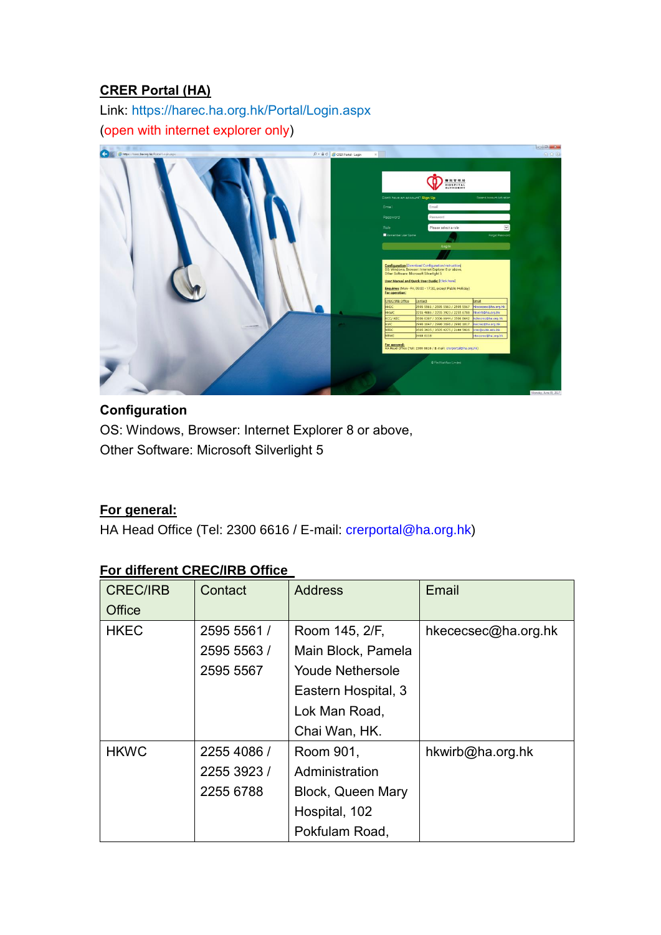### **CRER Portal (HA)**

Link:<https://harec.ha.org.hk/Portal/Login.aspx> (open with internet explorer only)



# **Configuration**

OS: Windows, Browser: Internet Explorer 8 or above, Other Software: Microsoft Silverlight 5

#### **For general:**

HA Head Office (Tel: 2300 6616 / E-mail: [crerportal@ha.org.hk\)](mailto:crerportal@ha.org.hk)

### **For different CREC/IRB Office**

| <b>CREC/IRB</b> | Contact     | <b>Address</b>          | Email               |
|-----------------|-------------|-------------------------|---------------------|
| Office          |             |                         |                     |
| <b>HKEC</b>     | 2595 5561 / | Room 145, 2/F,          | hkececsec@ha.org.hk |
|                 | 2595 5563 / | Main Block, Pamela      |                     |
|                 | 2595 5567   | <b>Youde Nethersole</b> |                     |
|                 |             | Eastern Hospital, 3     |                     |
|                 |             | Lok Man Road,           |                     |
|                 |             | Chai Wan, HK.           |                     |
| <b>HKWC</b>     | 2255 4086 / | Room 901,               | hkwirb@ha.org.hk    |
|                 | 2255 3923 / | Administration          |                     |
|                 | 2255 6788   | Block, Queen Mary       |                     |
|                 |             | Hospital, 102           |                     |
|                 |             | Pokfulam Road,          |                     |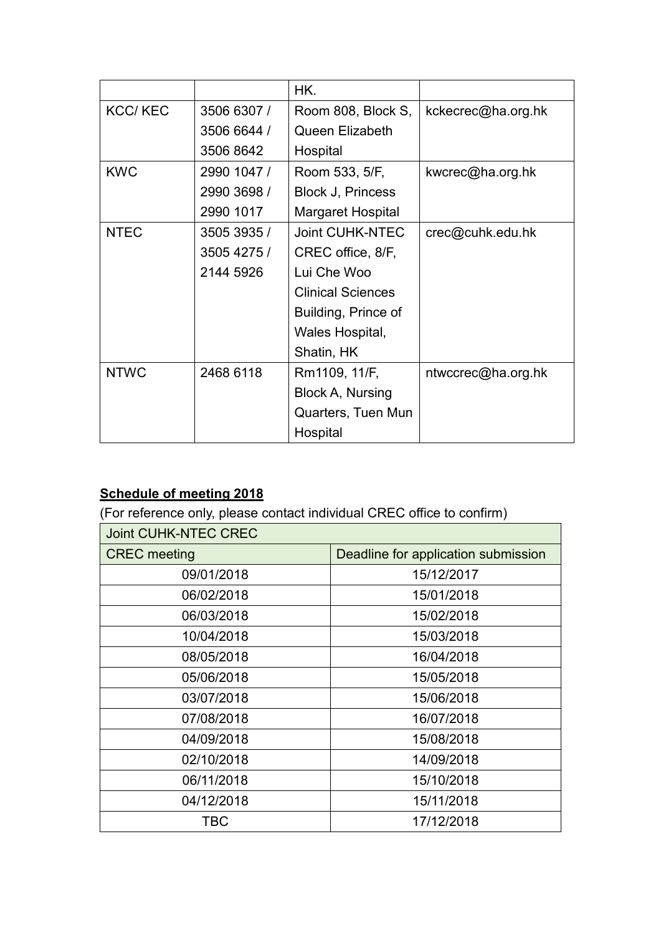|                |             | HK.                      |                    |
|----------------|-------------|--------------------------|--------------------|
| <b>KCC/KEC</b> | 3506 6307 / | Room 808, Block S,       | kckecrec@ha.org.hk |
|                | 3506 6644 / | <b>Queen Elizabeth</b>   |                    |
|                | 3506 8642   | Hospital                 |                    |
| <b>KWC</b>     | 2990 1047 / | Room 533, 5/F,           | kwcrec@ha.org.hk   |
|                | 2990 3698 / | Block J, Princess        |                    |
|                | 2990 1017   | Margaret Hospital        |                    |
| <b>NTEC</b>    | 3505 3935 / | <b>Joint CUHK-NTEC</b>   | crec@cuhk.edu.hk   |
|                | 3505 4275 / | CREC office, 8/F,        |                    |
|                | 2144 5926   | Lui Che Woo              |                    |
|                |             | <b>Clinical Sciences</b> |                    |
|                |             | Building, Prince of      |                    |
|                |             | Wales Hospital,          |                    |
|                |             | Shatin, HK               |                    |
| <b>NTWC</b>    | 2468 6118   | Rm1109, 11/F,            | ntwccrec@ha.org.hk |
|                |             | Block A, Nursing         |                    |
|                |             | Quarters, Tuen Mun       |                    |
|                |             | Hospital                 |                    |

# **Schedule of meeting 2018**

(For reference only, please contact individual CREC office to confirm)

| <b>Joint CUHK-NTEC CREC</b> |                                     |
|-----------------------------|-------------------------------------|
| <b>CREC</b> meeting         | Deadline for application submission |
| 09/01/2018                  | 15/12/2017                          |
| 06/02/2018                  | 15/01/2018                          |
| 06/03/2018                  | 15/02/2018                          |
| 10/04/2018                  | 15/03/2018                          |
| 08/05/2018                  | 16/04/2018                          |
| 05/06/2018                  | 15/05/2018                          |
| 03/07/2018                  | 15/06/2018                          |
| 07/08/2018                  | 16/07/2018                          |
| 04/09/2018                  | 15/08/2018                          |
| 02/10/2018                  | 14/09/2018                          |
| 06/11/2018                  | 15/10/2018                          |
| 04/12/2018                  | 15/11/2018                          |
| TBC                         | 17/12/2018                          |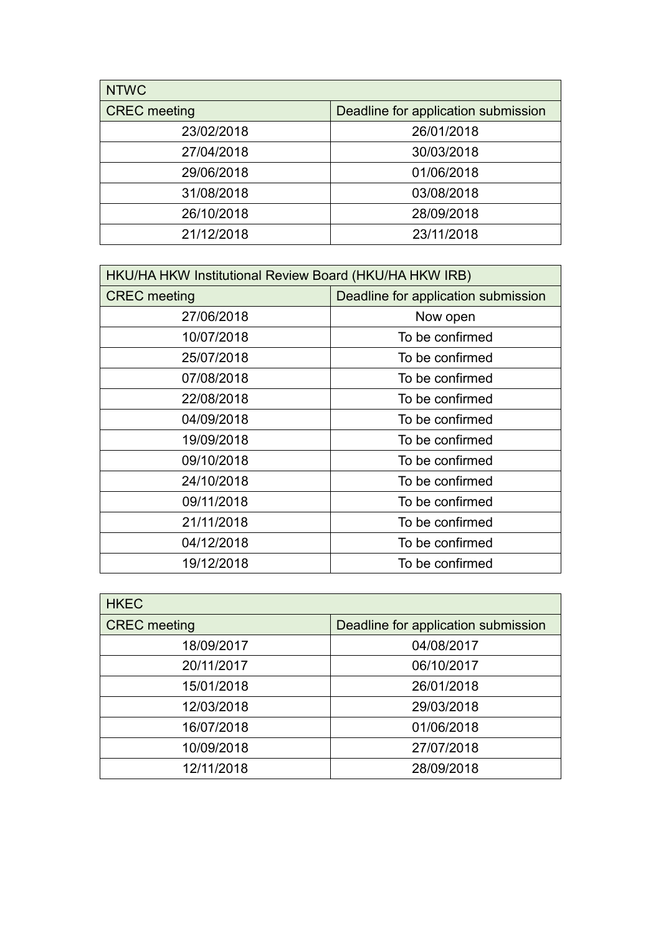| <b>NTWC</b>         |                                     |
|---------------------|-------------------------------------|
| <b>CREC</b> meeting | Deadline for application submission |
| 23/02/2018          | 26/01/2018                          |
| 27/04/2018          | 30/03/2018                          |
| 29/06/2018          | 01/06/2018                          |
| 31/08/2018          | 03/08/2018                          |
| 26/10/2018          | 28/09/2018                          |
| 21/12/2018          | 23/11/2018                          |

| HKU/HA HKW Institutional Review Board (HKU/HA HKW IRB) |                                     |
|--------------------------------------------------------|-------------------------------------|
| <b>CREC</b> meeting                                    | Deadline for application submission |
| 27/06/2018                                             | Now open                            |
| 10/07/2018                                             | To be confirmed                     |
| 25/07/2018                                             | To be confirmed                     |
| 07/08/2018                                             | To be confirmed                     |
| 22/08/2018                                             | To be confirmed                     |
| 04/09/2018                                             | To be confirmed                     |
| 19/09/2018                                             | To be confirmed                     |
| 09/10/2018                                             | To be confirmed                     |
| 24/10/2018                                             | To be confirmed                     |
| 09/11/2018                                             | To be confirmed                     |
| 21/11/2018                                             | To be confirmed                     |
| 04/12/2018                                             | To be confirmed                     |
| 19/12/2018                                             | To be confirmed                     |

| <b>HKEC</b>         |                                     |
|---------------------|-------------------------------------|
| <b>CREC</b> meeting | Deadline for application submission |
| 18/09/2017          | 04/08/2017                          |
| 20/11/2017          | 06/10/2017                          |
| 15/01/2018          | 26/01/2018                          |
| 12/03/2018          | 29/03/2018                          |
| 16/07/2018          | 01/06/2018                          |
| 10/09/2018          | 27/07/2018                          |
| 12/11/2018          | 28/09/2018                          |